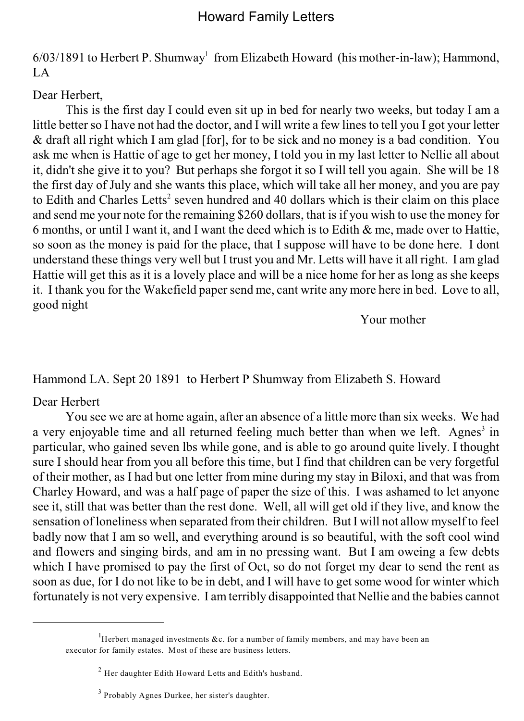# Howard Family Letters

 $6/03/1891$  to Herbert P. Shumway<sup>1</sup> from Elizabeth Howard (his mother-in-law); Hammond,  $L_A$ 

Dear Herbert,

This is the first day I could even sit up in bed for nearly two weeks, but today I am a little better so I have not had the doctor, and I will write a few lines to tell you I got your letter & draft all right which I am glad [for], for to be sick and no money is a bad condition. You ask me when is Hattie of age to get her money, I told you in my last letter to Nellie all about it, didn't she give it to you? But perhaps she forgot it so I will tell you again. She will be 18 the first day of July and she wants this place, which will take all her money, and you are pay to Edith and Charles Letts<sup>2</sup> seven hundred and 40 dollars which is their claim on this place and send me your note for the remaining \$260 dollars, that is if you wish to use the money for 6 months, or until I want it, and I want the deed which is to Edith  $\&$  me, made over to Hattie, so soon as the money is paid for the place, that I suppose will have to be done here. I dont understand these things very well but I trust you and Mr. Letts will have it all right. I am glad Hattie will get this as it is a lovely place and will be a nice home for her as long as she keeps it. I thank you for the Wakefield paper send me, cant write any more here in bed. Love to all, good night

Your mother

Hammond LA. Sept 20 1891 to Herbert P Shumway from Elizabeth S. Howard

Dear Herbert

You see we are at home again, after an absence of a little more than six weeks. We had a very enjoyable time and all returned feeling much better than when we left. Agnes<sup>3</sup> in particular, who gained seven lbs while gone, and is able to go around quite lively. I thought sure I should hear from you all before this time, but I find that children can be very forgetful of their mother, as I had but one letter from mine during my stay in Biloxi, and that was from Charley Howard, and was a half page of paper the size of this. I was ashamed to let anyone see it, still that was better than the rest done. Well, all will get old if they live, and know the sensation of loneliness when separated from their children. But I will not allow myself to feel badly now that I am so well, and everything around is so beautiful, with the soft cool wind and flowers and singing birds, and am in no pressing want. But I am oweing a few debts which I have promised to pay the first of Oct, so do not forget my dear to send the rent as soon as due, for I do not like to be in debt, and I will have to get some wood for winter which fortunately is not very expensive. I am terribly disappointed that Nellie and the babies cannot

<sup>&</sup>lt;sup>1</sup>Herbert managed investments &c. for a number of family members, and may have been an executor for family estates. Most of these are business letters.

 $<sup>2</sup>$  Her daughter Edith Howard Letts and Edith's husband.</sup>

 $3$  Probably Agnes Durkee, her sister's daughter.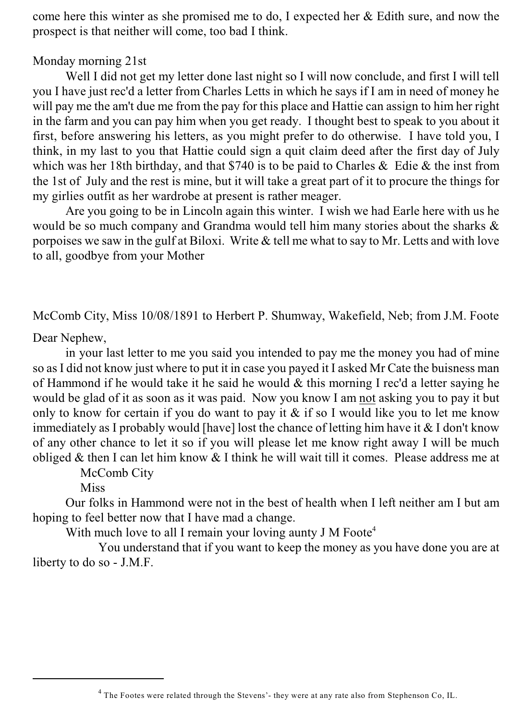come here this winter as she promised me to do, I expected her & Edith sure, and now the prospect is that neither will come, too bad I think.

## Monday morning 21st

Well I did not get my letter done last night so I will now conclude, and first I will tell you I have just rec'd a letter from Charles Letts in which he says if I am in need of money he will pay me the am't due me from the pay for this place and Hattie can assign to him her right in the farm and you can pay him when you get ready. I thought best to speak to you about it first, before answering his letters, as you might prefer to do otherwise. I have told you, I think, in my last to you that Hattie could sign a quit claim deed after the first day of July which was her 18th birthday, and that \$740 is to be paid to Charles & Edie & the inst from the 1st of July and the rest is mine, but it will take a great part of it to procure the things for my girlies outfit as her wardrobe at present is rather meager.

Are you going to be in Lincoln again this winter. I wish we had Earle here with us he would be so much company and Grandma would tell him many stories about the sharks & porpoises we saw in the gulf at Biloxi. Write & tell me what to say to Mr. Letts and with love to all, goodbye from your Mother

McComb City, Miss 10/08/1891 to Herbert P. Shumway, Wakefield, Neb; from J.M. Foote

Dear Nephew,

in your last letter to me you said you intended to pay me the money you had of mine so as I did not know just where to put it in case you payed it I asked Mr Cate the buisness man of Hammond if he would take it he said he would & this morning I rec'd a letter saying he would be glad of it as soon as it was paid. Now you know I am not asking you to pay it but only to know for certain if you do want to pay it  $\&$  if so I would like you to let me know immediately as I probably would [have] lost the chance of letting him have it  $&$  I don't know of any other chance to let it so if you will please let me know right away I will be much obliged & then I can let him know & I think he will wait till it comes. Please address me at

McComb City

Miss

Our folks in Hammond were not in the best of health when I left neither am I but am hoping to feel better now that I have mad a change.

With much love to all I remain your loving aunty J M Foote<sup>4</sup>

You understand that if you want to keep the money as you have done you are at liberty to do so - J.M.F.

<sup>&</sup>lt;sup>4</sup> The Footes were related through the Stevens'- they were at any rate also from Stephenson Co, IL.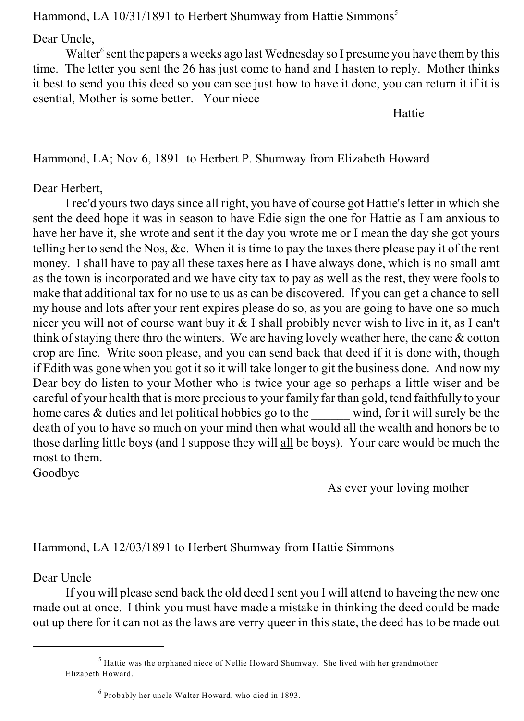Hammond, LA 10/31/1891 to Herbert Shumway from Hattie Simmons<sup>5</sup>

Dear Uncle,

Walter<sup>6</sup> sent the papers a weeks ago last Wednesday so I presume you have them by this time. The letter you sent the 26 has just come to hand and I hasten to reply. Mother thinks it best to send you this deed so you can see just how to have it done, you can return it if it is esential, Mother is some better. Your niece

Hattie

Hammond, LA; Nov 6, 1891 to Herbert P. Shumway from Elizabeth Howard

## Dear Herbert,

I rec'd yours two days since all right, you have of course got Hattie's letter in which she sent the deed hope it was in season to have Edie sign the one for Hattie as I am anxious to have her have it, she wrote and sent it the day you wrote me or I mean the day she got yours telling her to send the Nos, &c. When it is time to pay the taxes there please pay it of the rent money. I shall have to pay all these taxes here as I have always done, which is no small amt as the town is incorporated and we have city tax to pay as well as the rest, they were fools to make that additional tax for no use to us as can be discovered. If you can get a chance to sell my house and lots after your rent expires please do so, as you are going to have one so much nicer you will not of course want buy it & I shall probibly never wish to live in it, as I can't think of staying there thro the winters. We are having lovely weather here, the cane & cotton crop are fine. Write soon please, and you can send back that deed if it is done with, though if Edith was gone when you got it so it will take longer to git the business done. And now my Dear boy do listen to your Mother who is twice your age so perhaps a little wiser and be careful of your health that is more precious to yourfamily far than gold, tend faithfully to your home cares  $&$  duties and let political hobbies go to the wind, for it will surely be the death of you to have so much on your mind then what would all the wealth and honors be to those darling little boys (and I suppose they will all be boys). Your care would be much the most to them.

Goodbye

As ever your loving mother

# Hammond, LA 12/03/1891 to Herbert Shumway from Hattie Simmons

Dear Uncle

If you will please send back the old deed I sent you I will attend to haveing the new one made out at once. I think you must have made a mistake in thinking the deed could be made out up there for it can not as the laws are verry queer in this state, the deed has to be made out

 $<sup>5</sup>$  Hattie was the orphaned niece of Nellie Howard Shumway. She lived with her grandmother</sup> Elizabeth Howard.

 $6$  Probably her uncle Walter Howard, who died in 1893.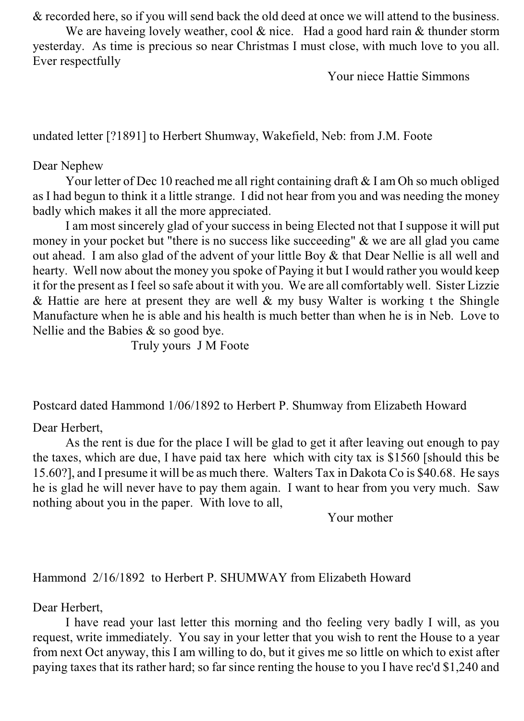& recorded here, so if you will send back the old deed at once we will attend to the business.

We are haveing lovely weather, cool & nice. Had a good hard rain & thunder storm yesterday. As time is precious so near Christmas I must close, with much love to you all. Ever respectfully

Your niece Hattie Simmons

undated letter [?1891] to Herbert Shumway, Wakefield, Neb: from J.M. Foote

### Dear Nephew

Your letter of Dec 10 reached me all right containing draft & I am Oh so much obliged as I had begun to think it a little strange. I did not hear from you and was needing the money badly which makes it all the more appreciated.

I am most sincerely glad of your success in being Elected not that I suppose it will put money in your pocket but "there is no success like succeeding" & we are all glad you came out ahead. I am also glad of the advent of your little Boy & that Dear Nellie is all well and hearty. Well now about the money you spoke of Paying it but I would rather you would keep it for the present as I feel so safe about it with you. We are all comfortably well. Sister Lizzie & Hattie are here at present they are well & my busy Walter is working t the Shingle Manufacture when he is able and his health is much better than when he is in Neb. Love to Nellie and the Babies & so good bye.

Truly yours J M Foote

Postcard dated Hammond 1/06/1892 to Herbert P. Shumway from Elizabeth Howard

Dear Herbert,

As the rent is due for the place I will be glad to get it after leaving out enough to pay the taxes, which are due, I have paid tax here which with city tax is \$1560 [should this be 15.60?], and I presume it will be as much there. Walters Tax in Dakota Co is \$40.68. He says he is glad he will never have to pay them again. I want to hear from you very much. Saw nothing about you in the paper. With love to all,

Your mother

## Hammond 2/16/1892 to Herbert P. SHUMWAY from Elizabeth Howard

Dear Herbert,

I have read your last letter this morning and tho feeling very badly I will, as you request, write immediately. You say in your letter that you wish to rent the House to a year from next Oct anyway, this I am willing to do, but it gives me so little on which to exist after paying taxes that its rather hard; so far since renting the house to you I have rec'd \$1,240 and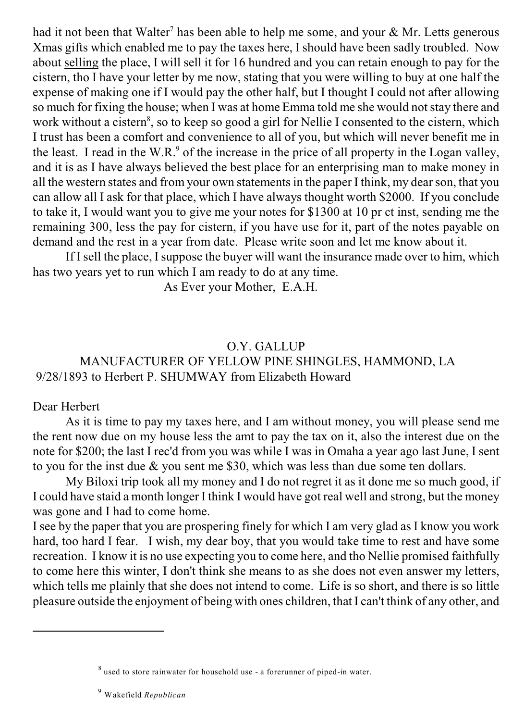had it not been that Walter<sup>7</sup> has been able to help me some, and your  $\&$  Mr. Letts generous Xmas gifts which enabled me to pay the taxes here, I should have been sadly troubled. Now about selling the place, I will sell it for 16 hundred and you can retain enough to pay for the cistern, tho I have your letter by me now, stating that you were willing to buy at one half the expense of making one if I would pay the other half, but I thought I could not after allowing so much for fixing the house; when I was at home Emma told me she would not stay there and work without a cistern<sup>8</sup>, so to keep so good a girl for Nellie I consented to the cistern, which I trust has been a comfort and convenience to all of you, but which will never benefit me in the least. I read in the W.R. $\degree$  of the increase in the price of all property in the Logan valley, and it is as I have always believed the best place for an enterprising man to make money in all the western states and from your own statements in the paper I think, my dear son, that you can allow all I ask for that place, which I have always thought worth \$2000. If you conclude to take it, I would want you to give me your notes for \$1300 at 10 pr ct inst, sending me the remaining 300, less the pay for cistern, if you have use for it, part of the notes payable on demand and the rest in a year from date. Please write soon and let me know about it.

If I sell the place, I suppose the buyer will want the insurance made over to him, which has two years yet to run which I am ready to do at any time.

As Ever your Mother, E.A.H.

## O.Y. GALLUP MANUFACTURER OF YELLOW PINE SHINGLES, HAMMOND, LA 9/28/1893 to Herbert P. SHUMWAY from Elizabeth Howard

## Dear Herbert

As it is time to pay my taxes here, and I am without money, you will please send me the rent now due on my house less the amt to pay the tax on it, also the interest due on the note for \$200; the last I rec'd from you was while I was in Omaha a year ago last June, I sent to you for the inst due & you sent me \$30, which was less than due some ten dollars.

My Biloxi trip took all my money and I do not regret it as it done me so much good, if I could have staid a month longer I think I would have got real well and strong, but the money was gone and I had to come home.

I see by the paper that you are prospering finely for which I am very glad as I know you work hard, too hard I fear. I wish, my dear boy, that you would take time to rest and have some recreation. I know it is no use expecting you to come here, and tho Nellie promised faithfully to come here this winter, I don't think she means to as she does not even answer my letters, which tells me plainly that she does not intend to come. Life is so short, and there is so little pleasure outside the enjoyment of being with ones children, that I can't think of any other, and

 $8$  used to store rainwater for household use - a forerunner of piped-in water.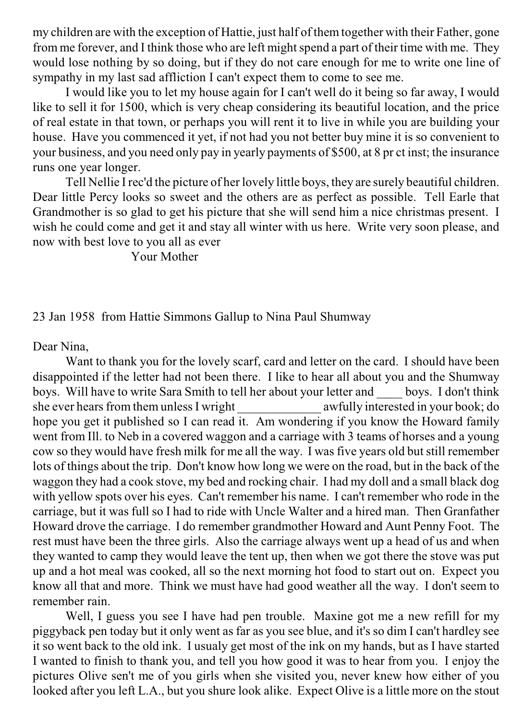my children are with the exception of Hattie, just half of them together with their Father, gone from me forever, and I think those who are left might spend a part of their time with me. They would lose nothing by so doing, but if they do not care enough for me to write one line of sympathy in my last sad affliction I can't expect them to come to see me.

I would like you to let my house again for I can't well do it being so far away, I would like to sell it for 1500, which is very cheap considering its beautiful location, and the price of real estate in that town, or perhaps you will rent it to live in while you are building your house. Have you commenced it yet, if not had you not better buy mine it is so convenient to your business, and you need only pay in yearly payments of \$500, at 8 pr ct inst; the insurance runs one year longer.

Tell Nellie I rec'd the picture of her lovely little boys, they are surely beautiful children. Dear little Percy looks so sweet and the others are as perfect as possible. Tell Earle that Grandmother is so glad to get his picture that she will send him a nice christmas present. I wish he could come and get it and stay all winter with us here. Write very soon please, and now with best love to you all as ever

Your Mother

23 Jan 1958 from Hattie Simmons Gallup to Nina Paul Shumway

Dear Nina,

Want to thank you for the lovely scarf, card and letter on the card. I should have been disappointed if the letter had not been there. I like to hear all about you and the Shumway boys. Will have to write Sara Smith to tell her about your letter and boys. I don't think she ever hears from them unless I wright \_\_\_\_\_\_\_\_\_\_\_\_\_\_ awfully interested in your book; do hope you get it published so I can read it. Am wondering if you know the Howard family went from Ill. to Neb in a covered waggon and a carriage with 3 teams of horses and a young cow so they would have fresh milk for me all the way. I was five years old but still remember lots of things about the trip. Don't know how long we were on the road, but in the back of the waggon they had a cook stove, my bed and rocking chair. I had my doll and a small black dog with yellow spots over his eyes. Can't remember his name. I can't remember who rode in the carriage, but it was full so I had to ride with Uncle Walter and a hired man. Then Granfather Howard drove the carriage. I do remember grandmother Howard and Aunt Penny Foot. The rest must have been the three girls. Also the carriage always went up a head of us and when they wanted to camp they would leave the tent up, then when we got there the stove was put up and a hot meal was cooked, all so the next morning hot food to start out on. Expect you know all that and more. Think we must have had good weather all the way. I don't seem to remember rain.

Well, I guess you see I have had pen trouble. Maxine got me a new refill for my piggyback pen today but it only went as far as you see blue, and it's so dim I can't hardley see it so went back to the old ink. I usualy get most of the ink on my hands, but as I have started I wanted to finish to thank you, and tell you how good it was to hear from you. I enjoy the pictures Olive sen't me of you girls when she visited you, never knew how either of you looked after you left L.A., but you shure look alike. Expect Olive is a little more on the stout